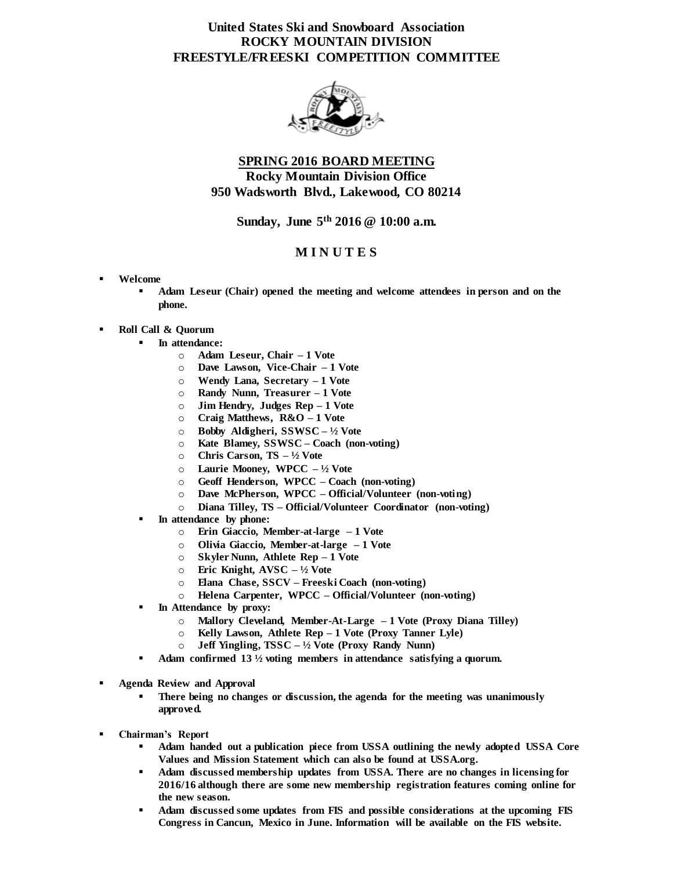# **United States Ski and Snowboard Association ROCKY MOUNTAIN DIVISION FREESTYLE/FREESKI COMPETITION COMMITTEE**



# **SPRING 2016 BOARD MEETING Rocky Mountain Division Office 950 Wadsworth Blvd., Lakewood, CO 80214**

#### **Sunday, June 5th 2016 @ 10:00 a.m.**

### **M I N U T E S**

- **Welcome**
	- **Adam Leseur (Chair) opened the meeting and welcome attendees in person and on the phone.**
- **Roll Call & Quorum**
	- **In attendance:**
		- o **Adam Leseur, Chair – 1 Vote**
		- o **Dave Lawson, Vice-Chair – 1 Vote**
		- o **Wendy Lana, Secretary – 1 Vote**
		- o **Randy Nunn, Treasurer – 1 Vote**
		- o **Jim Hendry, Judges Rep – 1 Vote**
		- o **Craig Matthews, R&O – 1 Vote**
		- o **Bobby Aldigheri, SSWSC – ½ Vote**
		- o **Kate Blamey, SSWSC – Coach (non-voting)**
		- o **Chris Carson, TS – ½ Vote**
		- o **Laurie Mooney, WPCC – ½ Vote**
		- o **Geoff Henderson, WPCC – Coach (non-voting)**
		- o **Dave McPherson, WPCC – Official/Volunteer (non-voting)**
		- o **Diana Tilley, TS – Official/Volunteer Coordinator (non-voting)**
		- **In attendance by phone:**
			- o **Erin Giaccio, Member-at-large – 1 Vote**
			- o **Olivia Giaccio, Member-at-large – 1 Vote**
			- o **Skyler Nunn, Athlete Rep – 1 Vote**
			- o **Eric Knight, AVSC – ½ Vote**
			- o **Elana Chase, SSCV – Freeski Coach (non-voting)**
			- o **Helena Carpenter, WPCC – Official/Volunteer (non-voting)**
		- **In Attendance by proxy:**
			- o **Mallory Cleveland, Member-At-Large – 1 Vote (Proxy Diana Tilley)**
			- o **Kelly Lawson, Athlete Rep – 1 Vote (Proxy Tanner Lyle)**
			- o **Jeff Yingling, TSSC – ½ Vote (Proxy Randy Nunn)**
		- **Adam confirmed 13 ½ voting members in attendance satisfying a quorum.**
- **Agenda Review and Approval**
	- **There being no changes or discussion, the agenda for the meeting was unanimously approved.**
- **Chairman's Report**
	- **Adam handed out a publication piece from USSA outlining the newly adopted USSA Core Values and Mission Statement which can also be found at USSA.org.**
	- **Adam discussed membership updates from USSA. There are no changes in licensing for 2016/16 although there are some new membership registration features coming online for the new season.**
	- **Adam discussed some updates from FIS and possible considerations at the upcoming FIS Congress in Cancun, Mexico in June. Information will be available on the FIS website.**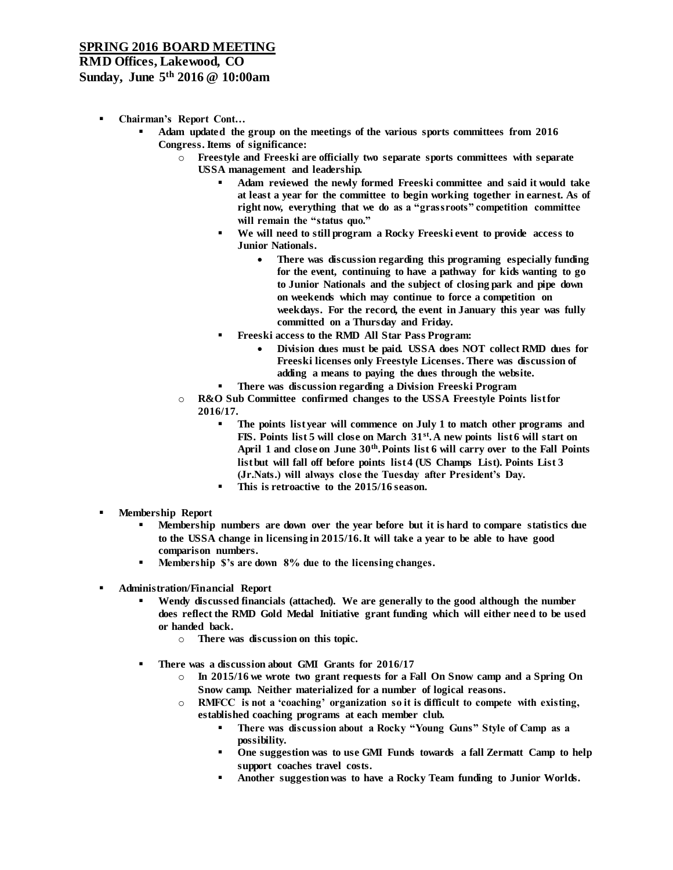# **SPRING 2016 BOARD MEETING**

# **RMD Offices, Lakewood, CO**

### **Sunday, June 5th 2016 @ 10:00am**

- **Chairman's Report Cont…**
	- **Adam updated the group on the meetings of the various sports committees from 2016 Congress. Items of significance:**
		- o **Freestyle and Freeski are officially two separate sports committees with separate** 
			- **USSA management and leadership.**
				- **Adam reviewed the newly formed Freeski committee and said it would take at least a year for the committee to begin working together in earnest. As of right now, everything that we do as a "grassroots" competition committee will remain the "status quo."**
				- **We will need to still program a Rocky Freeski event to provide access to Junior Nationals.**
					- **There was discussion regarding this programing especially funding for the event, continuing to have a pathway for kids wanting to go to Junior Nationals and the subject of closing park and pipe down on weekends which may continue to force a competition on weekdays. For the record, the event in January this year was fully committed on a Thursday and Friday.**
				- **Freeski access to the RMD All Star Pass Program:**
					- **Division dues must be paid. USSA does NOT collect RMD dues for Freeski licenses only Freestyle Licenses. There was discussion of adding a means to paying the dues through the website.**
				- **There was discussion regarding a Division Freeski Program**
		- o **R&O Sub Committee confirmed changes to the USSA Freestyle Points list for 2016/17.**
			- **The points list year will commence on July 1 to match other programs and FIS. Points list 5 will close on March 31st. A new points list 6 will start on April 1 and close on June 30th. Points list 6 will carry over to the Fall Points list but will fall off before points list 4 (US Champs List). Points List 3 (Jr.Nats.) will always close the Tuesday after President's Day.**
			- **This is retroactive to the 2015/16 season.**
- **Membership Report**
	- **Membership numbers are down over the year before but it is hard to compare statistics due to the USSA change in licensing in 2015/16. It will take a year to be able to have good comparison numbers.**
	- **Membership \$'s are down 8% due to the licensing changes.**
- **Administration/Financial Report**
	- **Wendy discussed financials (attached). We are generally to the good although the number does reflect the RMD Gold Medal Initiative grant funding which will either need to be used or handed back.**
		- o **There was discussion on this topic.**
	- **There was a discussion about GMI Grants for 2016/17**
		- In 2015/16 we wrote two grant requests for a Fall On Snow camp and a Spring On **Snow camp. Neither materialized for a number of logical reasons.**
		- RMFCC is not a 'coaching' organization so it is difficult to compete with existing, **established coaching programs at each member club.**
			- **There was discussion about a Rocky "Young Guns" Style of Camp as a possibility.**
			- **One suggestion was to use GMI Funds towards a fall Zermatt Camp to help support coaches travel costs.**
			- **Another suggestion was to have a Rocky Team funding to Junior Worlds.**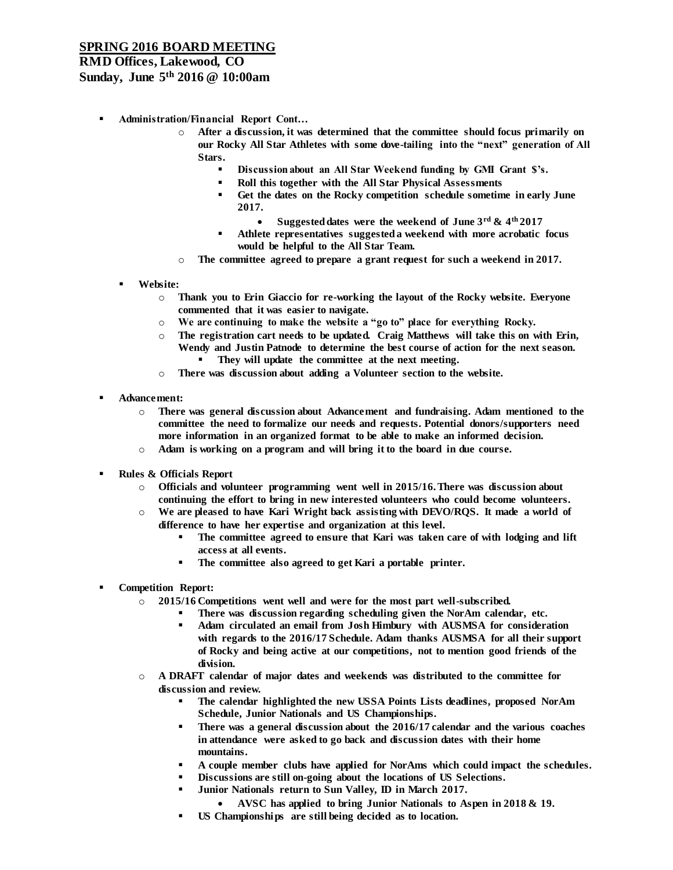### **SPRING 2016 BOARD MEETING**

### **RMD Offices, Lakewood, CO**

### **Sunday, June 5th 2016 @ 10:00am**

- **Administration/Financial Report Cont…**
	- o **After a discussion, it was determined that the committee should focus primarily on our Rocky All Star Athletes with some dove-tailing into the "next" generation of All Stars.**
		- **Discussion about an All Star Weekend funding by GMI Grant \$'s.**
		- **Roll this together with the All Star Physical Assessments**
		- **Get the dates on the Rocky competition schedule sometime in early June 2017.**
			- **Suggested dates were the weekend of June 3rd & 4th 2017**
		- **Athlete representatives suggested a weekend with more acrobatic focus would be helpful to the All Star Team.**
	- o **The committee agreed to prepare a grant request for such a weekend in 2017.**
	- **Website:**
		- o **Thank you to Erin Giaccio for re-working the layout of the Rocky website. Everyone commented that it was easier to navigate.**
		- o **We are continuing to make the website a "go to" place for everything Rocky.**
		- o **The registration cart needs to be updated. Craig Matthews will take this on with Erin, Wendy and Justin Patnode to determine the best course of action for the next season. They will update the committee at the next meeting.**
		- o **There was discussion about adding a Volunteer section to the website.**
- **Advancement:**
	- o **There was general discussion about Advancement and fundraising. Adam mentioned to the committee the need to formalize our needs and requests. Potential donors/supporters need more information in an organized format to be able to make an informed decision.**
	- o **Adam is working on a program and will bring it to the board in due course.**
- **Rules & Officials Report**
	- o **Officials and volunteer programming went well in 2015/16. There was discussion about continuing the effort to bring in new interested volunteers who could become volunteers.**
	- o **We are pleased to have Kari Wright back assisting with DEVO/RQS. It made a world of difference to have her expertise and organization at this level.**
		- **The committee agreed to ensure that Kari was taken care of with lodging and lift access at all events.**
		- **The committee also agreed to get Kari a portable printer.**
- **Competition Report:**
	- o **2015/16 Competitions went well and were for the most part well-subscribed.**
		- **There was discussion regarding scheduling given the NorAm calendar, etc.**
		- **Adam circulated an email from Josh Himbury with AUSMSA for consideration with regards to the 2016/17 Schedule. Adam thanks AUSMSA for all their support of Rocky and being active at our competitions, not to mention good friends of the division.**
	- o **A DRAFT calendar of major dates and weekends was distributed to the committee for discussion and review.** 
		- **The calendar highlighted the new USSA Points Lists deadlines, proposed NorAm Schedule, Junior Nationals and US Championships.**
		- **There was a general discussion about the 2016/17 calendar and the various coaches in attendance were asked to go back and discussion dates with their home mountains.**
		- **A couple member clubs have applied for NorAms which could impact the schedules.**
		- **Discussions are still on-going about the locations of US Selections.**
		- **Junior Nationals return to Sun Valley, ID in March 2017.**
			- **AVSC has applied to bring Junior Nationals to Aspen in 2018 & 19.**
		- **US Championships are still being decided as to location.**